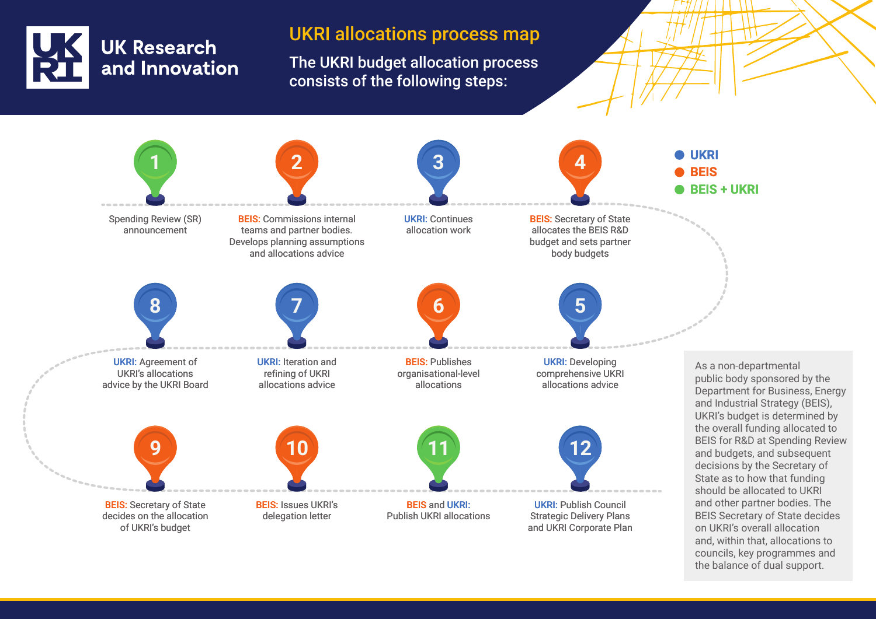

## UKRI allocations process map

The UKRI budget allocation process consists of the following steps: